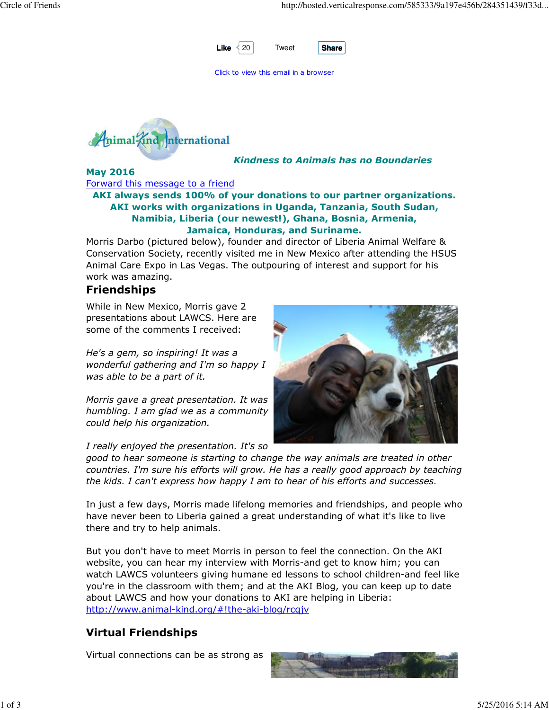

Click to view this email in a browser



Kindness to Animals has no Boundaries

May 2016 Forward this message to a friend

AKI always sends 100% of your donations to our partner organizations. AKI works with organizations in Uganda, Tanzania, South Sudan, Namibia, Liberia (our newest!), Ghana, Bosnia, Armenia, Jamaica, Honduras, and Suriname.

Morris Darbo (pictured below), founder and director of Liberia Animal Welfare & Conservation Society, recently visited me in New Mexico after attending the HSUS Animal Care Expo in Las Vegas. The outpouring of interest and support for his work was amazing.

## Friendships

While in New Mexico, Morris gave 2 presentations about LAWCS. Here are some of the comments I received:

He's a gem, so inspiring! It was a wonderful gathering and I'm so happy I was able to be a part of it.

Morris gave a great presentation. It was humbling. I am glad we as a community could help his organization.

I really enjoyed the presentation. It's so



good to hear someone is starting to change the way animals are treated in other countries. I'm sure his efforts will grow. He has a really good approach by teaching the kids. I can't express how happy I am to hear of his efforts and successes.

In just a few days, Morris made lifelong memories and friendships, and people who have never been to Liberia gained a great understanding of what it's like to live there and try to help animals.

But you don't have to meet Morris in person to feel the connection. On the AKI website, you can hear my interview with Morris-and get to know him; you can watch LAWCS volunteers giving humane ed lessons to school children-and feel like you're in the classroom with them; and at the AKI Blog, you can keep up to date about LAWCS and how your donations to AKI are helping in Liberia: http://www.animal-kind.org/#!the-aki-blog/rcqjv

# Virtual Friendships

Virtual connections can be as strong as

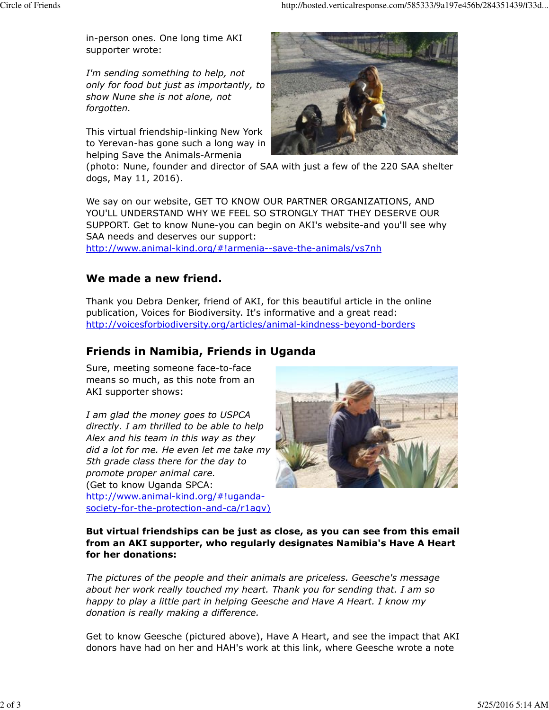in-person ones. One long time AKI supporter wrote:

I'm sending something to help, not only for food but just as importantly, to show Nune she is not alone, not forgotten.

This virtual friendship-linking New York to Yerevan-has gone such a long way in helping Save the Animals-Armenia



(photo: Nune, founder and director of SAA with just a few of the 220 SAA shelter dogs, May 11, 2016).

We say on our website, GET TO KNOW OUR PARTNER ORGANIZATIONS, AND YOU'LL UNDERSTAND WHY WE FEEL SO STRONGLY THAT THEY DESERVE OUR SUPPORT. Get to know Nune-you can begin on AKI's website-and you'll see why SAA needs and deserves our support:

http://www.animal-kind.org/#!armenia--save-the-animals/vs7nh

### We made a new friend.

Thank you Debra Denker, friend of AKI, for this beautiful article in the online publication, Voices for Biodiversity. It's informative and a great read: http://voicesforbiodiversity.org/articles/animal-kindness-beyond-borders

## Friends in Namibia, Friends in Uganda

Sure, meeting someone face-to-face means so much, as this note from an AKI supporter shows:

I am glad the money goes to USPCA directly. I am thrilled to be able to help Alex and his team in this way as they did a lot for me. He even let me take my 5th grade class there for the day to promote proper animal care. (Get to know Uganda SPCA: http://www.animal-kind.org/#!ugandasociety-for-the-protection-and-ca/r1agv)



But virtual friendships can be just as close, as you can see from this email from an AKI supporter, who regularly designates Namibia's Have A Heart for her donations:

The pictures of the people and their animals are priceless. Geesche's message about her work really touched my heart. Thank you for sending that. I am so happy to play a little part in helping Geesche and Have A Heart. I know my donation is really making a difference.

Get to know Geesche (pictured above), Have A Heart, and see the impact that AKI donors have had on her and HAH's work at this link, where Geesche wrote a note